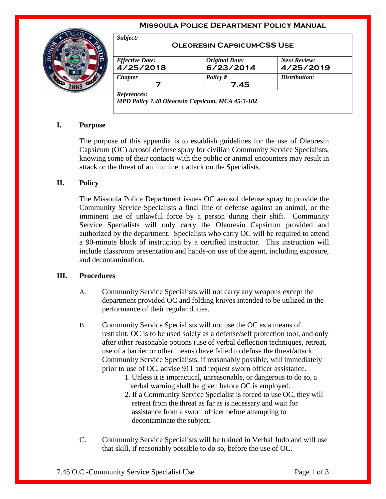#### **Missoula Police Department Policy Manual**



| <b>Effective Date:</b> | <b>Original Date:</b> | <b>Next Review:</b> |
|------------------------|-----------------------|---------------------|
| 4/25/2018              | 6/23/2014             | 4/25/2019           |
| <b>Chapter</b>         | Policy $#$            | Distribution:       |
|                        | 7.45                  |                     |

# **I. Purpose**

The purpose of this appendix is to establish guidelines for the use of Oleoresin Capsicum (OC) aerosol defense spray for civilian Community Service Specialists, knowing some of their contacts with the public or animal encounters may result in attack or the threat of an imminent attack on the Specialists.

### **II. Policy**

The Missoula Police Department issues OC aerosol defense spray to provide the Community Service Specialists a final line of defense against an animal, or the imminent use of unlawful force by a person during their shift. Community Service Specialists will only carry the Oleoresin Capsicum provided and authorized by the department. Specialists who carry OC will be required to attend a 90-minute block of instruction by a certified instructor. This instruction will include classroom presentation and hands-on use of the agent, including exposure, and decontamination.

### **III. Procedures**

- A. Community Service Specialists will not carry any weapons except the department provided OC and folding knives intended to be utilized in the performance of their regular duties.
- B. Community Service Specialists will not use the OC as a means of restraint. OC is to be used solely as a defense/self protection tool, and only after other reasonable options (use of verbal deflection techniques, retreat, use of a barrier or other means) have failed to defuse the threat/attack. Community Service Specialists, if reasonably possible, will immediately prior to use of OC, advise 911 and request sworn officer assistance.
	- 1. Unless it is impractical, unreasonable, or dangerous to do so, a verbal warning shall be given before OC is employed.
	- 2. If a Community Service Specialist is forced to use OC, they will retreat from the threat as far as is necessary and wait for assistance from a sworn officer before attempting to decontaminate the subject.
- C. Community Service Specialists will be trained in Verbal Judo and will use that skill, if reasonably possible to do so, before the use of OC.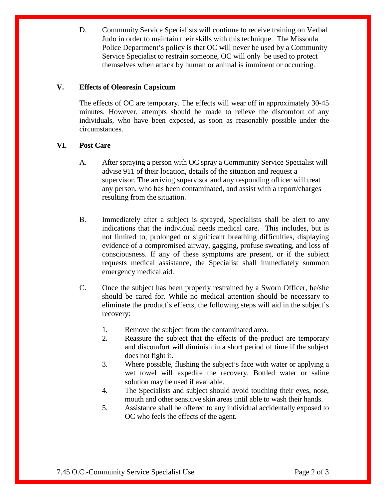D. Community Service Specialists will continue to receive training on Verbal Judo in order to maintain their skills with this technique. The Missoula Police Department's policy is that OC will never be used by a Community Service Specialist to restrain someone, OC will only be used to protect themselves when attack by human or animal is imminent or occurring.

## **V. Effects of Oleoresin Capsicum**

The effects of OC are temporary. The effects will wear off in approximately 30-45 minutes. However, attempts should be made to relieve the discomfort of any individuals, who have been exposed, as soon as reasonably possible under the circumstances.

## **VI. Post Care**

- A. After spraying a person with OC spray a Community Service Specialist will advise 911 of their location, details of the situation and request a supervisor. The arriving supervisor and any responding officer will treat any person, who has been contaminated, and assist with a report/charges resulting from the situation.
- B. Immediately after a subject is sprayed, Specialists shall be alert to any indications that the individual needs medical care. This includes, but is not limited to, prolonged or significant breathing difficulties, displaying evidence of a compromised airway, gagging, profuse sweating, and loss of consciousness. If any of these symptoms are present, or if the subject requests medical assistance, the Specialist shall immediately summon emergency medical aid.
- C. Once the subject has been properly restrained by a Sworn Officer, he/she should be cared for. While no medical attention should be necessary to eliminate the product's effects, the following steps will aid in the subject's recovery:
	- 1. Remove the subject from the contaminated area.
	- 2. Reassure the subject that the effects of the product are temporary and discomfort will diminish in a short period of time if the subject does not fight it.
	- 3. Where possible, flushing the subject's face with water or applying a wet towel will expedite the recovery. Bottled water or saline solution may be used if available.
	- 4. The Specialists and subject should avoid touching their eyes, nose, mouth and other sensitive skin areas until able to wash their hands.
	- 5. Assistance shall be offered to any individual accidentally exposed to OC who feels the effects of the agent.